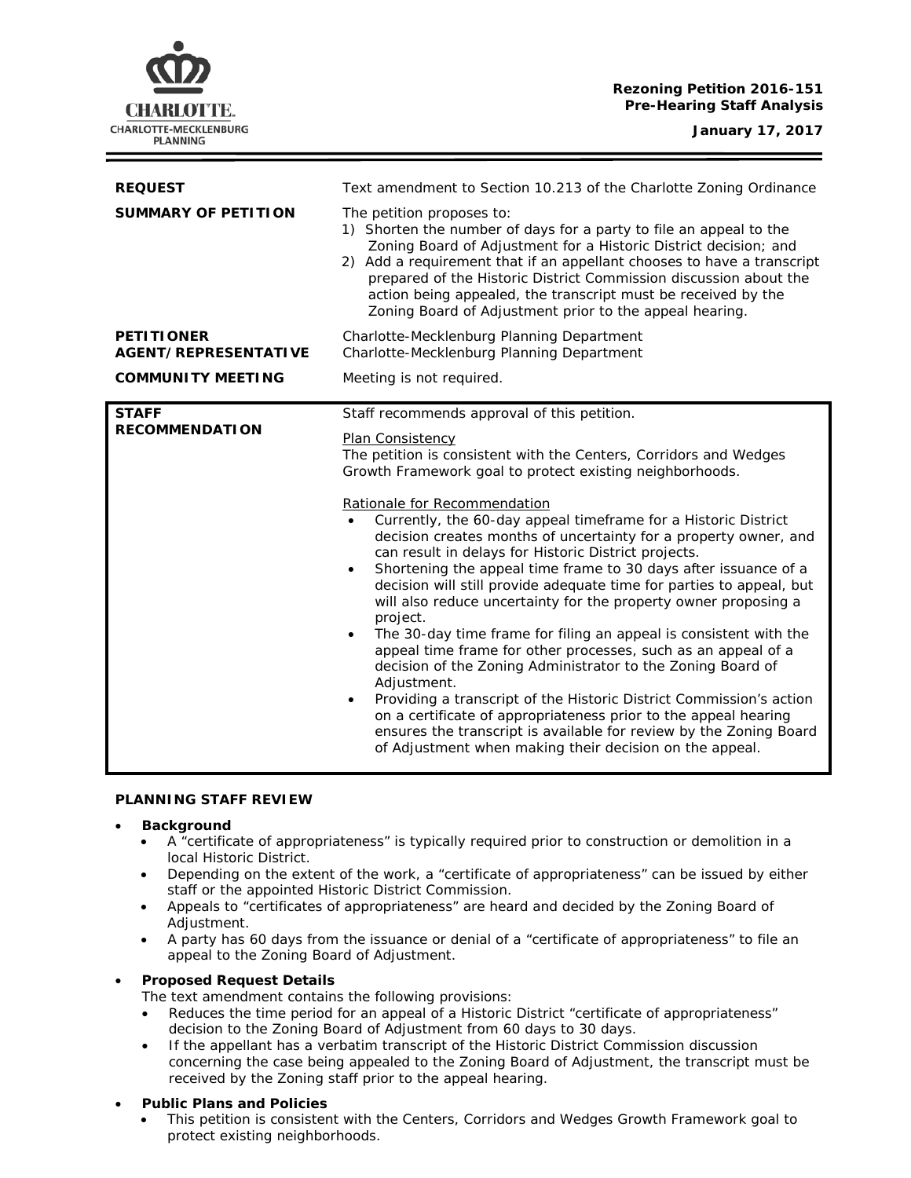# **Rezoning Petition 2016-151 Pre-Hearing Staff Analysis**

| <b>REQUEST</b><br><b>SUMMARY OF PETITION</b><br><b>PETITIONER</b> | Text amendment to Section 10.213 of the Charlotte Zoning Ordinance<br>The petition proposes to:<br>1) Shorten the number of days for a party to file an appeal to the<br>Zoning Board of Adjustment for a Historic District decision; and<br>2) Add a requirement that if an appellant chooses to have a transcript<br>prepared of the Historic District Commission discussion about the<br>action being appealed, the transcript must be received by the<br>Zoning Board of Adjustment prior to the appeal hearing.<br>Charlotte-Mecklenburg Planning Department                                                                                                                                                                                                                                                                                                                                                                                                                                                                                                                                                                                                                 |
|-------------------------------------------------------------------|-----------------------------------------------------------------------------------------------------------------------------------------------------------------------------------------------------------------------------------------------------------------------------------------------------------------------------------------------------------------------------------------------------------------------------------------------------------------------------------------------------------------------------------------------------------------------------------------------------------------------------------------------------------------------------------------------------------------------------------------------------------------------------------------------------------------------------------------------------------------------------------------------------------------------------------------------------------------------------------------------------------------------------------------------------------------------------------------------------------------------------------------------------------------------------------|
| <b>AGENT/REPRESENTATIVE</b>                                       | Charlotte-Mecklenburg Planning Department                                                                                                                                                                                                                                                                                                                                                                                                                                                                                                                                                                                                                                                                                                                                                                                                                                                                                                                                                                                                                                                                                                                                         |
| <b>COMMUNITY MEETING</b>                                          | Meeting is not required.                                                                                                                                                                                                                                                                                                                                                                                                                                                                                                                                                                                                                                                                                                                                                                                                                                                                                                                                                                                                                                                                                                                                                          |
| <b>STAFF</b><br><b>RECOMMENDATION</b>                             | Staff recommends approval of this petition.<br>Plan Consistency<br>The petition is consistent with the Centers, Corridors and Wedges<br>Growth Framework goal to protect existing neighborhoods.<br>Rationale for Recommendation<br>Currently, the 60-day appeal timeframe for a Historic District<br>$\bullet$<br>decision creates months of uncertainty for a property owner, and<br>can result in delays for Historic District projects.<br>Shortening the appeal time frame to 30 days after issuance of a<br>decision will still provide adequate time for parties to appeal, but<br>will also reduce uncertainty for the property owner proposing a<br>project.<br>The 30-day time frame for filing an appeal is consistent with the<br>$\bullet$<br>appeal time frame for other processes, such as an appeal of a<br>decision of the Zoning Administrator to the Zoning Board of<br>Adjustment.<br>Providing a transcript of the Historic District Commission's action<br>on a certificate of appropriateness prior to the appeal hearing<br>ensures the transcript is available for review by the Zoning Board<br>of Adjustment when making their decision on the appeal. |

#### **PLANNING STAFF REVIEW**

### • **Background**

- A "certificate of appropriateness" is typically required prior to construction or demolition in a local Historic District.
- Depending on the extent of the work, a "certificate of appropriateness" can be issued by either staff or the appointed Historic District Commission.
- Appeals to "certificates of appropriateness" are heard and decided by the Zoning Board of Adjustment.
- A party has 60 days from the issuance or denial of a "certificate of appropriateness" to file an appeal to the Zoning Board of Adjustment.

# • **Proposed Request Details**

The text amendment contains the following provisions:

- Reduces the time period for an appeal of a Historic District "certificate of appropriateness" decision to the Zoning Board of Adjustment from 60 days to 30 days.
- If the appellant has a verbatim transcript of the Historic District Commission discussion concerning the case being appealed to the Zoning Board of Adjustment, the transcript must be received by the Zoning staff prior to the appeal hearing.

## • **Public Plans and Policies**

• This petition is consistent with the *Centers, Corridors and Wedges Growth Framework* goal to protect existing neighborhoods.